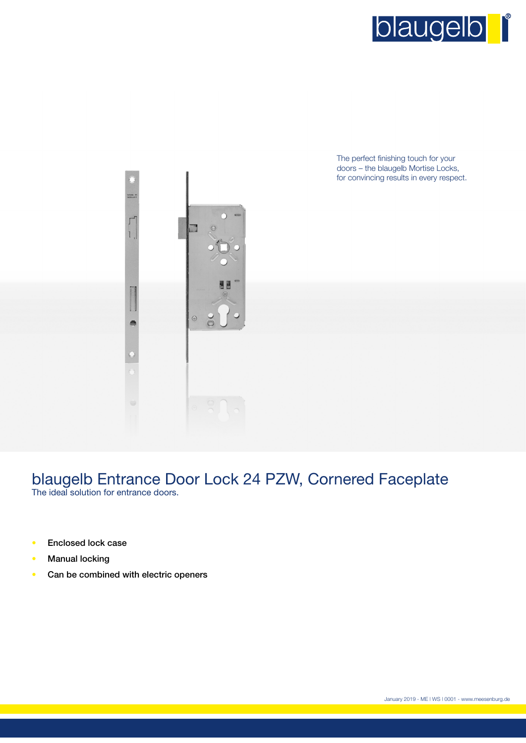

The perfect finishing touch for your doors – the blaugelb Mortise Locks, for convincing results in every respect.



## blaugelb Entrance Door Lock 24 PZW, Cornered Faceplate The ideal solution for entrance doors.

- Enclosed lock case
- **Manual locking**
- Can be combined with electric openers